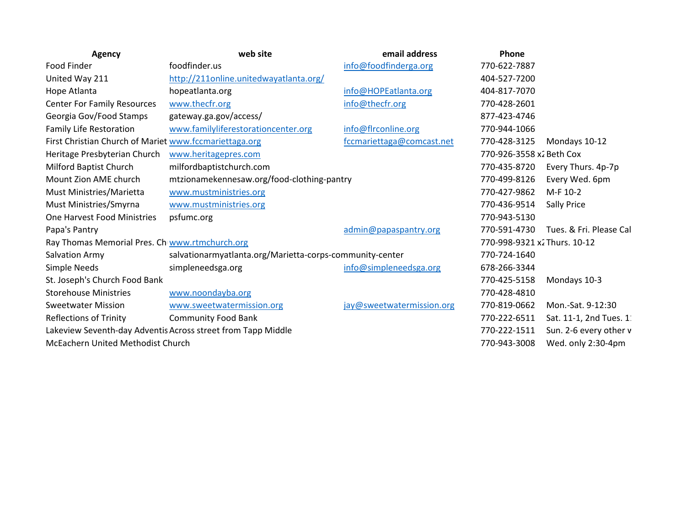| Agency                                                 | web site                                                     | email address             | Phone                        |                         |
|--------------------------------------------------------|--------------------------------------------------------------|---------------------------|------------------------------|-------------------------|
| Food Finder                                            | foodfinder.us                                                | info@foodfinderga.org     | 770-622-7887                 |                         |
| United Way 211                                         | http://211online.unitedwayatlanta.org/                       |                           | 404-527-7200                 |                         |
| Hope Atlanta                                           | hopeatlanta.org                                              | info@HOPEatlanta.org      | 404-817-7070                 |                         |
| <b>Center For Family Resources</b>                     | www.thecfr.org                                               | info@thecfr.org           | 770-428-2601                 |                         |
| Georgia Gov/Food Stamps                                | gateway.ga.gov/access/                                       |                           | 877-423-4746                 |                         |
| <b>Family Life Restoration</b>                         | www.familyliferestorationcenter.org                          | info@flrconline.org       | 770-944-1066                 |                         |
| First Christian Church of Mariet www.fccmariettaga.org |                                                              | fccmariettaga@comcast.net | 770-428-3125                 | Mondays 10-12           |
| Heritage Presbyterian Church                           | www.heritagepres.com                                         | 770-926-3558 x2 Beth Cox  |                              |                         |
| Milford Baptist Church                                 | milfordbaptistchurch.com                                     |                           | 770-435-8720                 | Every Thurs. 4p-7p      |
| Mount Zion AME church                                  | mtzionamekennesaw.org/food-clothing-pantry                   |                           | 770-499-8126                 | Every Wed. 6pm          |
| Must Ministries/Marietta                               | www.mustministries.org                                       |                           | 770-427-9862                 | M-F 10-2                |
| Must Ministries/Smyrna                                 | www.mustministries.org                                       |                           | 770-436-9514                 | <b>Sally Price</b>      |
| <b>One Harvest Food Ministries</b>                     | psfumc.org                                                   |                           | 770-943-5130                 |                         |
| Papa's Pantry                                          |                                                              | admin@papaspantry.org     | 770-591-4730                 | Tues. & Fri. Please Cal |
| Ray Thomas Memorial Pres. Ch www.rtmchurch.org         |                                                              |                           | 770-998-9321 x2 Thurs. 10-12 |                         |
| Salvation Army                                         | salvationarmyatlanta.org/Marietta-corps-community-center     |                           | 770-724-1640                 |                         |
| Simple Needs                                           | simpleneedsga.org                                            | info@simpleneedsga.org    | 678-266-3344                 |                         |
| St. Joseph's Church Food Bank                          |                                                              |                           | 770-425-5158                 | Mondays 10-3            |
| <b>Storehouse Ministries</b>                           | www.noondayba.org                                            |                           | 770-428-4810                 |                         |
| <b>Sweetwater Mission</b>                              | www.sweetwatermission.org                                    | jay@sweetwatermission.org | 770-819-0662                 | Mon.-Sat. 9-12:30       |
| <b>Reflections of Trinity</b>                          | <b>Community Food Bank</b>                                   |                           | 770-222-6511                 | Sat. 11-1, 2nd Tues. 1  |
|                                                        | Lakeview Seventh-day Adventis Across street from Tapp Middle |                           | 770-222-1511                 | Sun. 2-6 every other v  |
| McEachern United Methodist Church                      |                                                              |                           | 770-943-3008                 | Wed. only 2:30-4pm      |